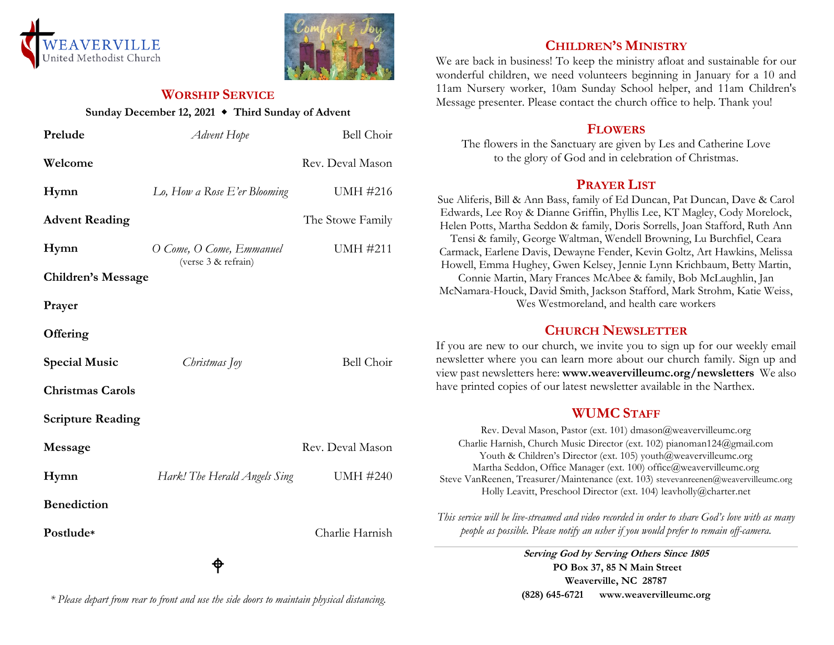



### **WORSHIP SERVICE**

#### **Sunday December 12, 2021 Third Sunday of Advent**

| Prelude                   | Advent Hope                                     | Bell Choir       |
|---------------------------|-------------------------------------------------|------------------|
| Welcome                   |                                                 | Rev. Deval Mason |
| Hymn                      | Lo, How a Rose E'er Blooming                    | <b>UMH #216</b>  |
| <b>Advent Reading</b>     |                                                 | The Stowe Family |
| Hymn                      | O Come, O Come, Emmanuel<br>(verse 3 & refrain) | <b>UMH #211</b>  |
| <b>Children's Message</b> |                                                 |                  |
| Prayer                    |                                                 |                  |
| Offering                  |                                                 |                  |
| <b>Special Music</b>      | Christmas Joy                                   | Bell Choir       |
| <b>Christmas Carols</b>   |                                                 |                  |
| <b>Scripture Reading</b>  |                                                 |                  |
| Message                   |                                                 | Rev. Deval Mason |
| Hymn                      | Hark! The Herald Angels Sing                    | <b>UMH #240</b>  |
| <b>Benediction</b>        |                                                 |                  |
| Postlude*                 |                                                 | Charlie Harnish  |
|                           |                                                 |                  |

### **CHILDREN'S MINISTRY**

We are back in business! To keep the ministry afloat and sustainable for our wonderful children, we need volunteers beginning in January for a 10 and 11am Nursery worker, 10am Sunday School helper, and 11am Children's Message presenter. Please contact the church office to help. Thank you!

### **FLOWERS**

The flowers in the Sanctuary are given by Les and Catherine Love to the glory of God and in celebration of Christmas.

### **PRAYER LIST**

Sue Aliferis, Bill & Ann Bass, family of Ed Duncan, Pat Duncan, Dave & Carol Edwards, Lee Roy & Dianne Griffin, Phyllis Lee, KT Magley, Cody Morelock, Helen Potts, Martha Seddon & family, Doris Sorrells, Joan Stafford, Ruth Ann Tensi & family, George Waltman, Wendell Browning, Lu Burchfiel, Ceara Carmack, Earlene Davis, Dewayne Fender, Kevin Goltz, Art Hawkins, Melissa Howell, Emma Hughey, Gwen Kelsey, Jennie Lynn Krichbaum, Betty Martin, Connie Martin, Mary Frances McAbee & family, Bob McLaughlin, Jan McNamara-Houck, David Smith, Jackson Stafford, Mark Strohm, Katie Weiss, Wes Westmoreland, and health care workers

## **CHURCH NEWSLETTER**

If you are new to our church, we invite you to sign up for our weekly email newsletter where you can learn more about our church family. Sign up and view past newsletters here: **www.weavervilleumc.org/newsletters** We also have printed copies of our latest newsletter available in the Narthex.

### **WUMC STAFF**

Rev. Deval Mason, Pastor (ext. 101) dmason@weavervilleumc.org Charlie Harnish, Church Music Director (ext. 102) pianoman124@gmail.com Youth & Children's Director (ext. 105) youth@weavervilleumc.org Martha Seddon, Office Manager (ext. 100) office@weavervilleumc.org Steve VanReenen, Treasurer/Maintenance (ext. 103) stevevanreenen@weavervilleumc.org Holly Leavitt, Preschool Director (ext. 104) leavholly@charter.net

*This service will be live-streamed and video recorded in order to share God's love with as many people as possible. Please notify an usher if you would prefer to remain off-camera.*

> **Serving God by Serving Others Since 1805 PO Box 37, 85 N Main Street Weaverville, NC 28787 (828) 645-6721 [www.weavervilleumc.org](http://www.weavervilleumc.org/)**

*\* Please depart from rear to front and use the side doors to maintain physical distancing.*